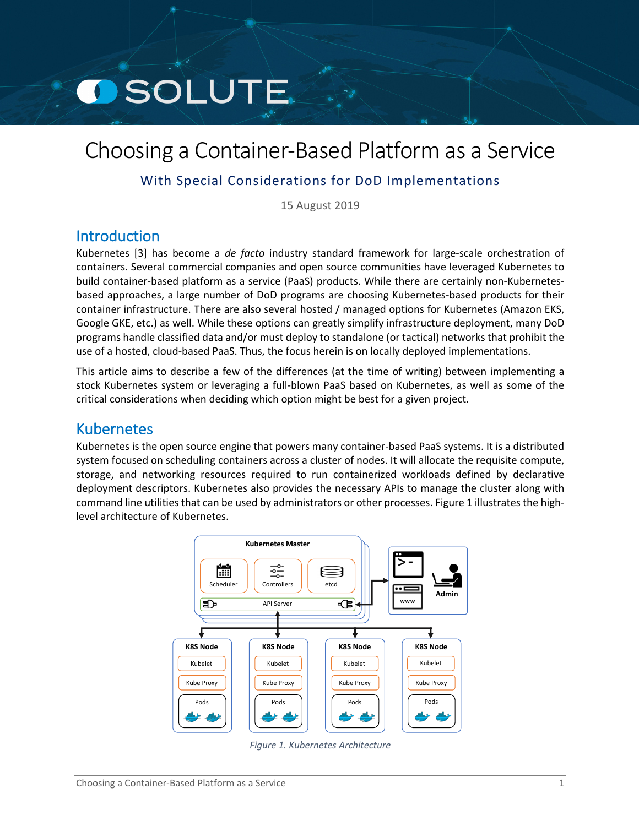# **OSOLUTE**

## Choosing a Container-Based Platform as a Service

## With Special Considerations for DoD Implementations

15 August 2019

## Introduction

Kubernetes [[3\]](#page-8-0) has become a *de facto* industry standard framework for large-scale orchestration of containers. Several commercial companies and open source communities have leveraged Kubernetes to build container-based platform as a service (PaaS) products. While there are certainly non-Kubernetesbased approaches, a large number of DoD programs are choosing Kubernetes-based products for their container infrastructure. There are also several hosted / managed options for Kubernetes (Amazon EKS, Google GKE, etc.) as well. While these options can greatly simplify infrastructure deployment, many DoD programs handle classified data and/or must deploy to standalone (or tactical) networks that prohibit the use of a hosted, cloud-based PaaS. Thus, the focus herein is on locally deployed implementations.

This article aims to describe a few of the differences (at the time of writing) between implementing a stock Kubernetes system or leveraging a full-blown PaaS based on Kubernetes, as well as some of the critical considerations when deciding which option might be best for a given project.

## Kubernetes

Kubernetes is the open source engine that powers many container-based PaaS systems. It is a distributed system focused on scheduling containers across a cluster of nodes. It will allocate the requisite compute, storage, and networking resources required to run containerized workloads defined by declarative deployment descriptors. Kubernetes also provides the necessary APIs to manage the cluster along with command line utilities that can be used by administrators or other processes. Figure 1 [illustr](#page-0-0)ates the highlevel architecture of Kubernetes.



<span id="page-0-0"></span>*Figure 1. Kubernetes Architecture*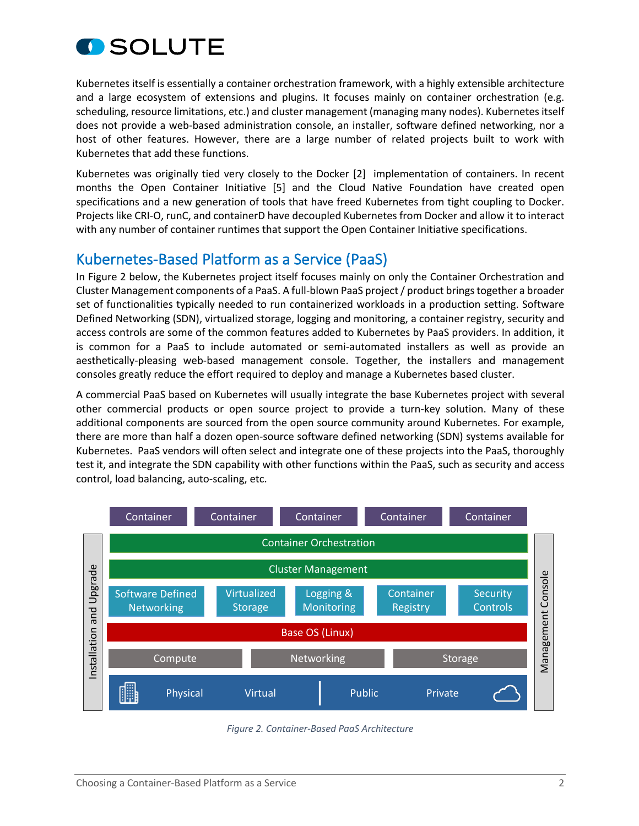

Kubernetes itself is essentially a container orchestration framework, with a highly extensible architecture and a large ecosystem of extensions and plugins. It focuses mainly on container orchestration (e.g. scheduling, resource limitations, etc.) and cluster management (managing many nodes). Kubernetes itself does not provide a web-based administration console, an installer, software defined networking, nor a host of other features. However, there are a large number of related projects built to work with Kubernetes that add these functions.

Kubernetes was originally tied very closely to the Docker [[2\]](#page-8-1) implementation of containers. In recent months the Open Container Initiative [[5\]](#page-8-2) and the Cloud Native Foundation have created open specifications and a new generation of tools that have freed Kubernetes from tight coupling to Docker. Projects like CRI-O, runC, and containerD have decoupled Kubernetes from Docker and allow it to interact with any number of container runtimes that support the Open Container Initiative specifications.

## Kubernetes-Based Platform as a Service (PaaS)

In Figure 2 [below,](#page-1-0) the Kubernetes project itself focuses mainly on only the Container Orchestration and Cluster Management components of a PaaS. A full-blown PaaS project / product brings together a broader set of functionalities typically needed to run containerized workloads in a production setting. Software Defined Networking (SDN), virtualized storage, logging and monitoring, a container registry, security and access controls are some of the common features added to Kubernetes by PaaS providers. In addition, it is common for a PaaS to include automated or semi-automated installers as well as provide an aesthetically-pleasing web-based management console. Together, the installers and management consoles greatly reduce the effort required to deploy and manage a Kubernetes based cluster.

A commercial PaaS based on Kubernetes will usually integrate the base Kubernetes project with several other commercial products or open source project to provide a turn-key solution. Many of these additional components are sourced from the open source community around Kubernetes. For example, there are more than half a dozen open-source software defined networking (SDN) systems available for Kubernetes. PaaS vendors will often select and integrate one of these projects into the PaaS, thoroughly test it, and integrate the SDN capability with other functions within the PaaS, such as security and access control, load balancing, auto-scaling, etc.



<span id="page-1-0"></span>*Figure 2. Container-Based PaaS Architecture*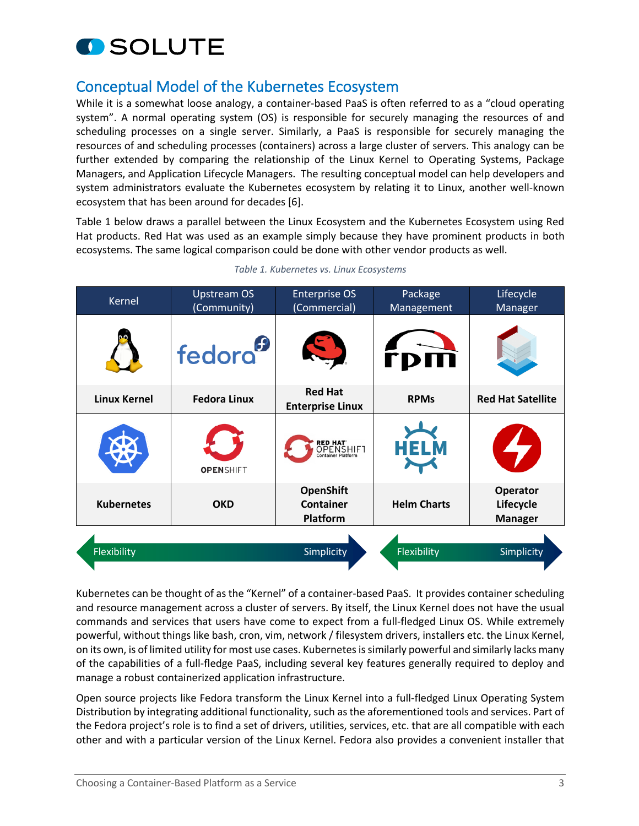

## Conceptual Model of the Kubernetes Ecosystem

While it is a somewhat loose analogy, a container-based PaaS is often referred to as a "cloud operating system". A normal operating system (OS) is responsible for securely managing the resources of and scheduling processes on a single server. Similarly, a PaaS is responsible for securely managing the resources of and scheduling processes (containers) across a large cluster of servers. This analogy can be further extended by comparing the relationship of the Linux Kernel to Operating Systems, Package Managers, and Application Lifecycle Managers. The resulting conceptual model can help developers and system administrators evaluate the Kubernetes ecosystem by relating it to Linux, another well-known ecosystem that has been around for decades [[6\]](#page-8-3).

Table 1 [below](#page-2-0) draws a parallel between the Linux Ecosystem and the Kubernetes Ecosystem using Red Hat products. Red Hat was used as an example simply because they have prominent products in both ecosystems. The same logical comparison could be done with other vendor products as well.

| Kernel              | <b>Upstream OS</b><br>(Community) | <b>Enterprise OS</b><br>(Commercial)                          | Package<br>Management | Lifecycle<br>Manager                           |
|---------------------|-----------------------------------|---------------------------------------------------------------|-----------------------|------------------------------------------------|
|                     | fedora <sup>9</sup>               |                                                               |                       |                                                |
| <b>Linux Kernel</b> | <b>Fedora Linux</b>               | <b>Red Hat</b><br><b>Enterprise Linux</b>                     | <b>RPMs</b>           | <b>Red Hat Satellite</b>                       |
|                     | <b>OPENSHIFT</b>                  | <b>RED HAT'</b><br>OPENSHIFT<br><sub>Container Platform</sub> | <b>HELM</b>           | 3                                              |
| <b>Kubernetes</b>   | <b>OKD</b>                        | <b>OpenShift</b><br><b>Container</b><br>Platform              | <b>Helm Charts</b>    | <b>Operator</b><br>Lifecycle<br><b>Manager</b> |
|                     |                                   |                                                               |                       |                                                |
| Flexibility         |                                   | Simplicity                                                    | Flexibility           | Simplicity                                     |
|                     |                                   |                                                               |                       |                                                |

#### <span id="page-2-0"></span>*Table 1. Kubernetes vs. Linux Ecosystems*

Kubernetes can be thought of as the "Kernel" of a container-based PaaS. It provides container scheduling and resource management across a cluster of servers. By itself, the Linux Kernel does not have the usual commands and services that users have come to expect from a full-fledged Linux OS. While extremely powerful, without things like bash, cron, vim, network / filesystem drivers, installers etc. the Linux Kernel, on its own, is of limited utility for most use cases. Kubernetes is similarly powerful and similarly lacks many of the capabilities of a full-fledge PaaS, including several key features generally required to deploy and manage a robust containerized application infrastructure.

Open source projects like Fedora transform the Linux Kernel into a full-fledged Linux Operating System Distribution by integrating additional functionality, such as the aforementioned tools and services. Part of the Fedora project's role is to find a set of drivers, utilities, services, etc. that are all compatible with each other and with a particular version of the Linux Kernel. Fedora also provides a convenient installer that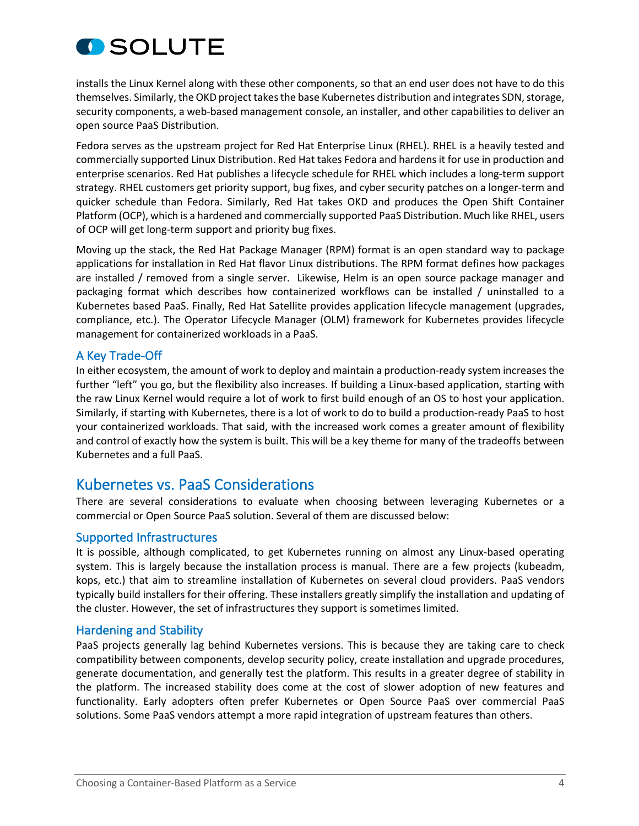

installs the Linux Kernel along with these other components, so that an end user does not have to do this themselves. Similarly, the OKD project takes the base Kubernetes distribution and integrates SDN, storage, security components, a web-based management console, an installer, and other capabilities to deliver an open source PaaS Distribution.

Fedora serves as the upstream project for Red Hat Enterprise Linux (RHEL). RHEL is a heavily tested and commercially supported Linux Distribution. Red Hat takes Fedora and hardens it for use in production and enterprise scenarios. Red Hat publishes a lifecycle schedule for RHEL which includes a long-term support strategy. RHEL customers get priority support, bug fixes, and cyber security patches on a longer-term and quicker schedule than Fedora. Similarly, Red Hat takes OKD and produces the Open Shift Container Platform (OCP), which is a hardened and commercially supported PaaS Distribution. Much like RHEL, users of OCP will get long-term support and priority bug fixes.

Moving up the stack, the Red Hat Package Manager (RPM) format is an open standard way to package applications for installation in Red Hat flavor Linux distributions. The RPM format defines how packages are installed / removed from a single server. Likewise, Helm is an open source package manager and packaging format which describes how containerized workflows can be installed / uninstalled to a Kubernetes based PaaS. Finally, Red Hat Satellite provides application lifecycle management (upgrades, compliance, etc.). The Operator Lifecycle Manager (OLM) framework for Kubernetes provides lifecycle management for containerized workloads in a PaaS.

#### A Key Trade-Off

In either ecosystem, the amount of work to deploy and maintain a production-ready system increases the further "left" you go, but the flexibility also increases. If building a Linux-based application, starting with the raw Linux Kernel would require a lot of work to first build enough of an OS to host your application. Similarly, if starting with Kubernetes, there is a lot of work to do to build a production-ready PaaS to host your containerized workloads. That said, with the increased work comes a greater amount of flexibility and control of exactly how the system is built. This will be a key theme for many of the tradeoffs between Kubernetes and a full PaaS.

### Kubernetes vs. PaaS Considerations

There are several considerations to evaluate when choosing between leveraging Kubernetes or a commercial or Open Source PaaS solution. Several of them are discussed below:

#### Supported Infrastructures

It is possible, although complicated, to get Kubernetes running on almost any Linux-based operating system. This is largely because the installation process is manual. There are a few projects (kubeadm, kops, etc.) that aim to streamline installation of Kubernetes on several cloud providers. PaaS vendors typically build installers for their offering. These installers greatly simplify the installation and updating of the cluster. However, the set of infrastructures they support is sometimes limited.

#### Hardening and Stability

PaaS projects generally lag behind Kubernetes versions. This is because they are taking care to check compatibility between components, develop security policy, create installation and upgrade procedures, generate documentation, and generally test the platform. This results in a greater degree of stability in the platform. The increased stability does come at the cost of slower adoption of new features and functionality. Early adopters often prefer Kubernetes or Open Source PaaS over commercial PaaS solutions. Some PaaS vendors attempt a more rapid integration of upstream features than others.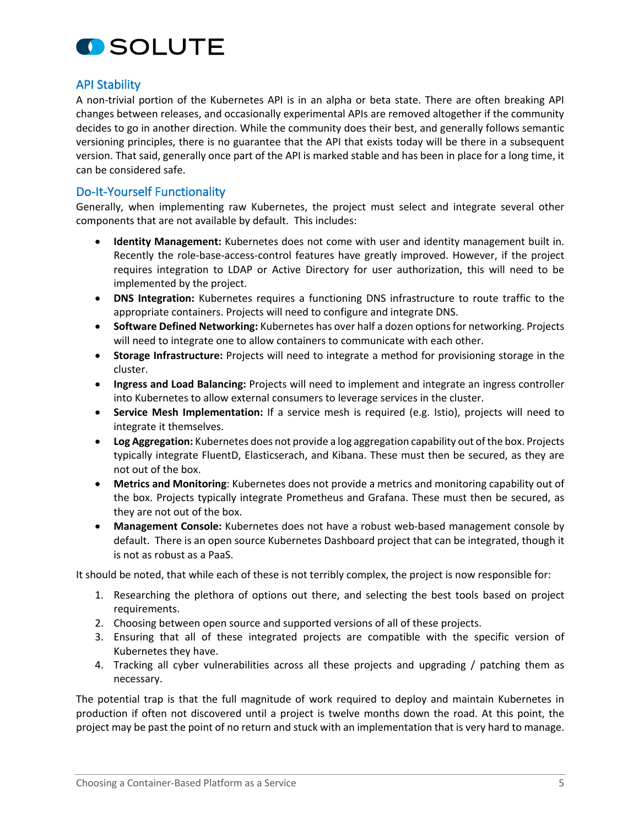

#### API Stability

A non-trivial portion of the Kubernetes API is in an alpha or beta state. There are often breaking API changes between releases, and occasionally experimental APIs are removed altogether if the community decides to go in another direction. While the community does their best, and generally follows semantic versioning principles, there is no guarantee that the API that exists today will be there in a subsequent version. That said, generally once part of the API is marked stable and has been in place for a long time, it can be considered safe.

#### Do-It-Yourself Functionality

Generally, when implementing raw Kubernetes, the project must select and integrate several other components that are not available by default. This includes:

- **Identity Management:** Kubernetes does not come with user and identity management built in. Recently the role-base-access-control features have greatly improved. However, if the project requires integration to LDAP or Active Directory for user authorization, this will need to be implemented by the project.
- **DNS Integration:** Kubernetes requires a functioning DNS infrastructure to route traffic to the appropriate containers. Projects will need to configure and integrate DNS.
- **Software Defined Networking:** Kubernetes has over half a dozen options for networking. Projects will need to integrate one to allow containers to communicate with each other.
- **Storage Infrastructure:** Projects will need to integrate a method for provisioning storage in the cluster.
- **Ingress and Load Balancing:** Projects will need to implement and integrate an ingress controller into Kubernetes to allow external consumers to leverage services in the cluster.
- **Service Mesh Implementation:** If a service mesh is required (e.g. Istio), projects will need to integrate it themselves.
- **Log Aggregation:** Kubernetes does not provide a log aggregation capability out of the box. Projects typically integrate FluentD, Elasticserach, and Kibana. These must then be secured, as they are not out of the box.
- **Metrics and Monitoring**: Kubernetes does not provide a metrics and monitoring capability out of the box. Projects typically integrate Prometheus and Grafana. These must then be secured, as they are not out of the box.
- **Management Console:** Kubernetes does not have a robust web-based management console by default. There is an open source Kubernetes Dashboard project that can be integrated, though it is not as robust as a PaaS.

It should be noted, that while each of these is not terribly complex, the project is now responsible for:

- 1. Researching the plethora of options out there, and selecting the best tools based on project requirements.
- 2. Choosing between open source and supported versions of all of these projects.
- 3. Ensuring that all of these integrated projects are compatible with the specific version of Kubernetes they have.
- 4. Tracking all cyber vulnerabilities across all these projects and upgrading / patching them as necessary.

The potential trap is that the full magnitude of work required to deploy and maintain Kubernetes in production if often not discovered until a project is twelve months down the road. At this point, the project may be past the point of no return and stuck with an implementation that is very hard to manage.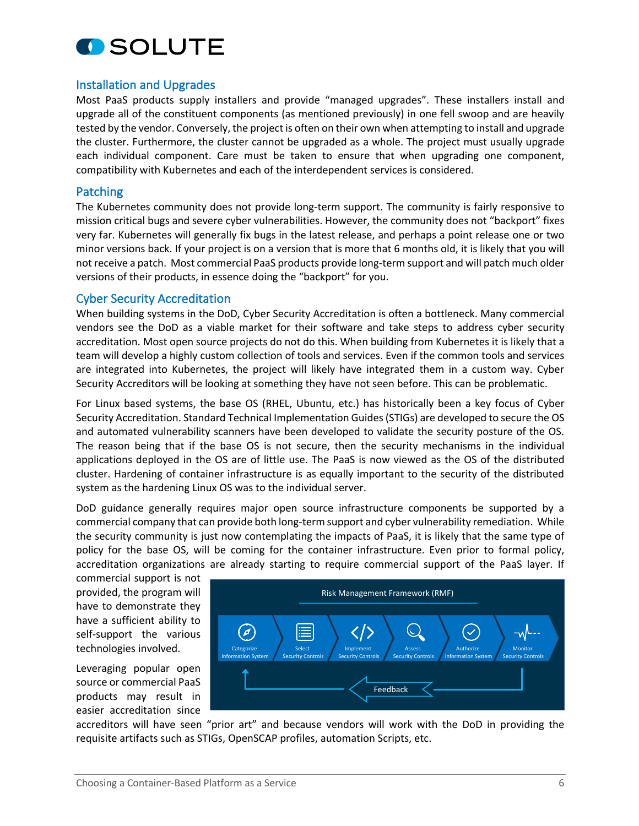

#### Installation and Upgrades

Most PaaS products supply installers and provide "managed upgrades". These installers install and upgrade all of the constituent components (as mentioned previously) in one fell swoop and are heavily tested by the vendor. Conversely, the project is often on their own when attempting to install and upgrade the cluster. Furthermore, the cluster cannot be upgraded as a whole. The project must usually upgrade each individual component. Care must be taken to ensure that when upgrading one component, compatibility with Kubernetes and each of the interdependent services is considered.

#### Patching

The Kubernetes community does not provide long-term support. The community is fairly responsive to mission critical bugs and severe cyber vulnerabilities. However, the community does not "backport" fixes very far. Kubernetes will generally fix bugs in the latest release, and perhaps a point release one or two minor versions back. If your project is on a version that is more that 6 months old, it is likely that you will not receive a patch. Most commercial PaaS products provide long-term support and will patch much older versions of their products, in essence doing the "backport" for you.

#### Cyber Security Accreditation

When building systems in the DoD, Cyber Security Accreditation is often a bottleneck. Many commercial vendors see the DoD as a viable market for their software and take steps to address cyber security accreditation. Most open source projects do not do this. When building from Kubernetes it is likely that a team will develop a highly custom collection of tools and services. Even if the common tools and services are integrated into Kubernetes, the project will likely have integrated them in a custom way. Cyber Security Accreditors will be looking at something they have not seen before. This can be problematic.

For Linux based systems, the base OS (RHEL, Ubuntu, etc.) has historically been a key focus of Cyber Security Accreditation. Standard Technical Implementation Guides (STIGs) are developed to secure the OS and automated vulnerability scanners have been developed to validate the security posture of the OS. The reason being that if the base OS is not secure, then the security mechanisms in the individual applications deployed in the OS are of little use. The PaaS is now viewed as the OS of the distributed cluster. Hardening of container infrastructure is as equally important to the security of the distributed system as the hardening Linux OS was to the individual server.

DoD guidance generally requires major open source infrastructure components be supported by a commercial company that can provide both long-term support and cyber vulnerability remediation. While the security community is just now contemplating the impacts of PaaS, it is likely that the same type of policy for the base OS, will be coming for the container infrastructure. Even prior to formal policy, accreditation organizations are already starting to require commercial support of the PaaS layer. If

commercial support is not provided, the program will have to demonstrate they have a sufficient ability to self-support the various technologies involved.

Leveraging popular open source or commercial PaaS products may result in easier accreditation since



accreditors will have seen "prior art" and because vendors will work with the DoD in providing the requisite artifacts such as STIGs, OpenSCAP profiles, automation Scripts, etc.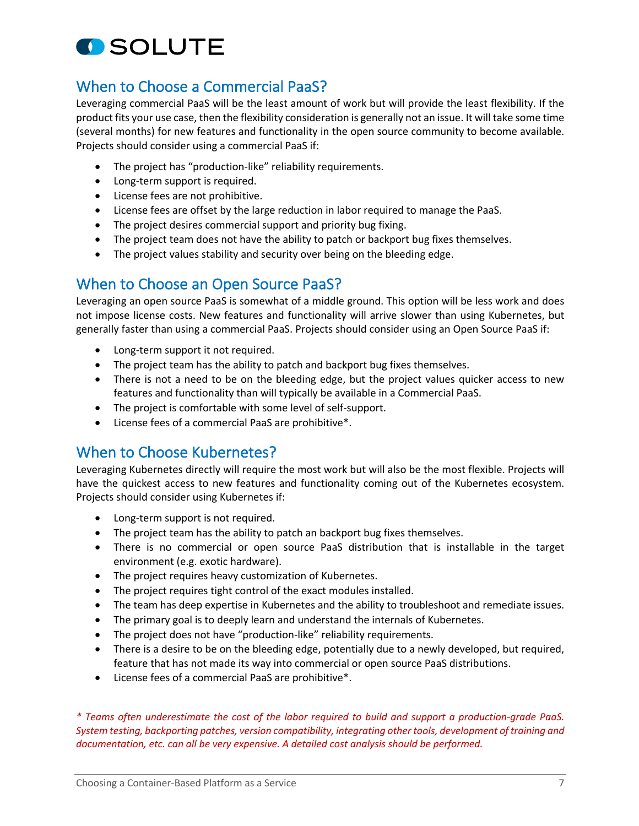

## When to Choose a Commercial PaaS?

Leveraging commercial PaaS will be the least amount of work but will provide the least flexibility. If the product fits your use case, then the flexibility consideration is generally not an issue. It will take some time (several months) for new features and functionality in the open source community to become available. Projects should consider using a commercial PaaS if:

- The project has "production-like" reliability requirements.
- Long-term support is required.
- License fees are not prohibitive.
- License fees are offset by the large reduction in labor required to manage the PaaS.
- The project desires commercial support and priority bug fixing.
- The project team does not have the ability to patch or backport bug fixes themselves.
- The project values stability and security over being on the bleeding edge.

## When to Choose an Open Source PaaS?

Leveraging an open source PaaS is somewhat of a middle ground. This option will be less work and does not impose license costs. New features and functionality will arrive slower than using Kubernetes, but generally faster than using a commercial PaaS. Projects should consider using an Open Source PaaS if:

- Long-term support it not required.
- The project team has the ability to patch and backport bug fixes themselves.
- There is not a need to be on the bleeding edge, but the project values quicker access to new features and functionality than will typically be available in a Commercial PaaS.
- The project is comfortable with some level of self-support.
- License fees of a commercial PaaS are prohibitive\*.

## When to Choose Kubernetes?

Leveraging Kubernetes directly will require the most work but will also be the most flexible. Projects will have the quickest access to new features and functionality coming out of the Kubernetes ecosystem. Projects should consider using Kubernetes if:

- Long-term support is not required.
- The project team has the ability to patch an backport bug fixes themselves.
- There is no commercial or open source PaaS distribution that is installable in the target environment (e.g. exotic hardware).
- The project requires heavy customization of Kubernetes.
- The project requires tight control of the exact modules installed.
- The team has deep expertise in Kubernetes and the ability to troubleshoot and remediate issues.
- The primary goal is to deeply learn and understand the internals of Kubernetes.
- The project does not have "production-like" reliability requirements.
- There is a desire to be on the bleeding edge, potentially due to a newly developed, but required, feature that has not made its way into commercial or open source PaaS distributions.
- License fees of a commercial PaaS are prohibitive\*.

*\* Teams often underestimate the cost of the labor required to build and support a production-grade PaaS. System testing, backporting patches, version compatibility, integrating other tools, development of training and documentation, etc. can all be very expensive. A detailed cost analysis should be performed.*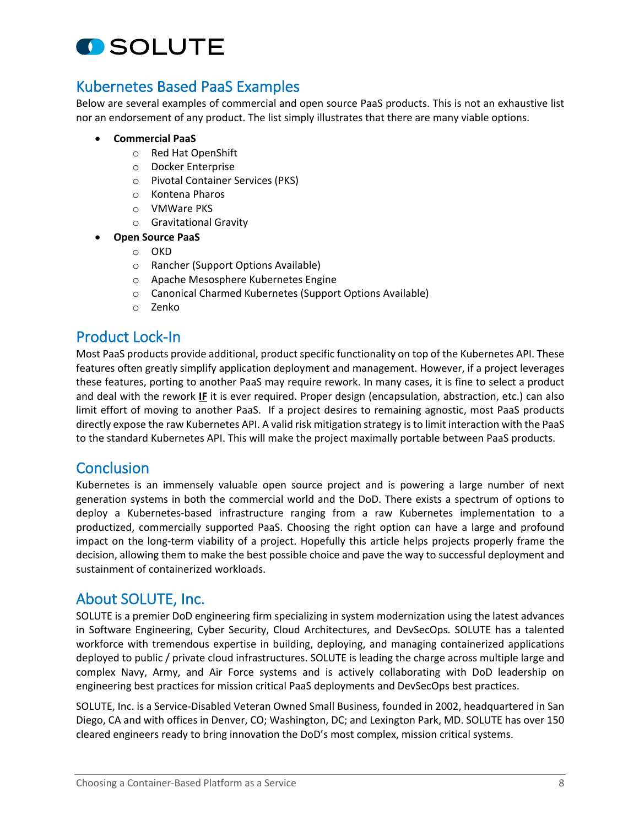

## Kubernetes Based PaaS Examples

Below are several examples of commercial and open source PaaS products. This is not an exhaustive list nor an endorsement of any product. The list simply illustrates that there are many viable options.

- **Commercial PaaS**
	- o Red Hat OpenShift
	- o Docker Enterprise
	- o Pivotal Container Services (PKS)
	- o Kontena Pharos
	- o VMWare PKS
	- o Gravitational Gravity
- **Open Source PaaS**
	- o OKD
	- o Rancher (Support Options Available)
	- o Apache Mesosphere Kubernetes Engine
	- o Canonical Charmed Kubernetes (Support Options Available)
	- o Zenko

## Product Lock-In

Most PaaS products provide additional, product specific functionality on top of the Kubernetes API. These features often greatly simplify application deployment and management. However, if a project leverages these features, porting to another PaaS may require rework. In many cases, it is fine to select a product and deal with the rework **IF** it is ever required. Proper design (encapsulation, abstraction, etc.) can also limit effort of moving to another PaaS. If a project desires to remaining agnostic, most PaaS products directly expose the raw Kubernetes API. A valid risk mitigation strategy is to limit interaction with the PaaS to the standard Kubernetes API. This will make the project maximally portable between PaaS products.

## **Conclusion**

Kubernetes is an immensely valuable open source project and is powering a large number of next generation systems in both the commercial world and the DoD. There exists a spectrum of options to deploy a Kubernetes-based infrastructure ranging from a raw Kubernetes implementation to a productized, commercially supported PaaS. Choosing the right option can have a large and profound impact on the long-term viability of a project. Hopefully this article helps projects properly frame the decision, allowing them to make the best possible choice and pave the way to successful deployment and sustainment of containerized workloads.

## About SOLUTE, Inc.

SOLUTE is a premier DoD engineering firm specializing in system modernization using the latest advances in Software Engineering, Cyber Security, Cloud Architectures, and DevSecOps. SOLUTE has a talented workforce with tremendous expertise in building, deploying, and managing containerized applications deployed to public / private cloud infrastructures. SOLUTE is leading the charge across multiple large and complex Navy, Army, and Air Force systems and is actively collaborating with DoD leadership on engineering best practices for mission critical PaaS deployments and DevSecOps best practices.

SOLUTE, Inc. is a Service-Disabled Veteran Owned Small Business, founded in 2002, headquartered in San Diego, CA and with offices in Denver, CO; Washington, DC; and Lexington Park, MD. SOLUTE has over 150 cleared engineers ready to bring innovation the DoD's most complex, mission critical systems.